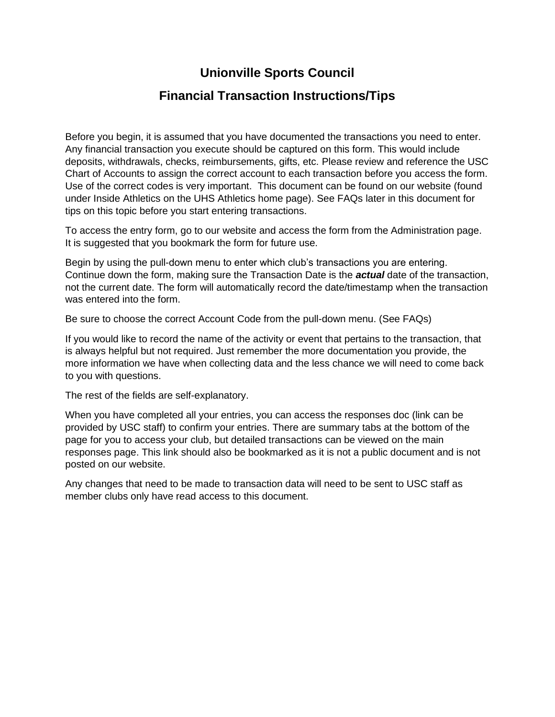## **Unionville Sports Council**

### **Financial Transaction Instructions/Tips**

Before you begin, it is assumed that you have documented the transactions you need to enter. Any financial transaction you execute should be captured on this form. This would include deposits, withdrawals, checks, reimbursements, gifts, etc. Please review and reference the USC Chart of Accounts to assign the correct account to each transaction before you access the form. Use of the correct codes is very important. This document can be found on our website (found under Inside Athletics on the UHS Athletics home page). See FAQs later in this document for tips on this topic before you start entering transactions.

To access the entry form, go to our website and access the form from the Administration page. It is suggested that you bookmark the form for future use.

Begin by using the pull-down menu to enter which club's transactions you are entering. Continue down the form, making sure the Transaction Date is the *actual* date of the transaction, not the current date. The form will automatically record the date/timestamp when the transaction was entered into the form.

Be sure to choose the correct Account Code from the pull-down menu. (See FAQs)

If you would like to record the name of the activity or event that pertains to the transaction, that is always helpful but not required. Just remember the more documentation you provide, the more information we have when collecting data and the less chance we will need to come back to you with questions.

The rest of the fields are self-explanatory.

When you have completed all your entries, you can access the responses doc (link can be provided by USC staff) to confirm your entries. There are summary tabs at the bottom of the page for you to access your club, but detailed transactions can be viewed on the main responses page. This link should also be bookmarked as it is not a public document and is not posted on our website.

Any changes that need to be made to transaction data will need to be sent to USC staff as member clubs only have read access to this document.